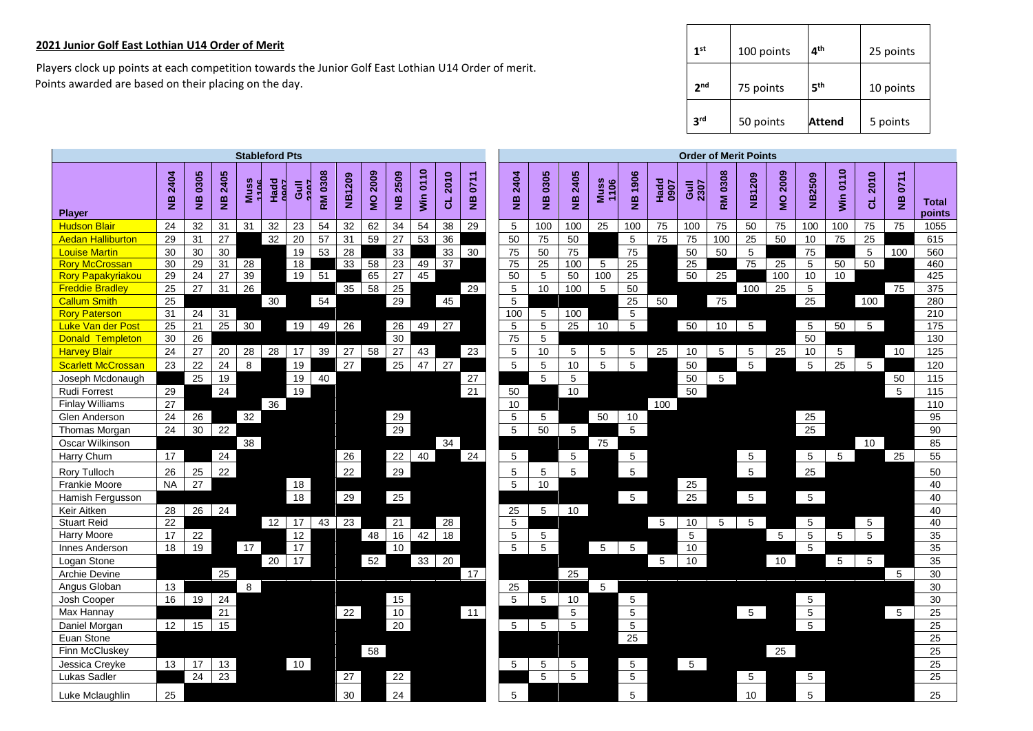## **2021 Junior Golf East Lothian U14 Order of Merit**

 Players clock up points at each competition towards the Junior Golf East Lothian U14 Order of merit. Points awarded are based on their placing on the day.

| 1 <sup>st</sup> | 100 points | 4 <sup>th</sup> | 25 points |
|-----------------|------------|-----------------|-----------|
| 2 <sub>nd</sub> | 75 points  | 5 <sup>th</sup> | 10 points |
| 3 <sup>rd</sup> | 50 points  | Attend          | 5 points  |

|                                   | <b>Stableford Pts</b> |                 |                 |              |              |                       |                 |        |           |                       | <b>Order of Merit Points</b> |                       |                       |                       |                            |                       |                     |                 |                     |                 |                 |                 |                                 |                 |                |           |                            |                        |
|-----------------------------------|-----------------------|-----------------|-----------------|--------------|--------------|-----------------------|-----------------|--------|-----------|-----------------------|------------------------------|-----------------------|-----------------------|-----------------------|----------------------------|-----------------------|---------------------|-----------------|---------------------|-----------------|-----------------|-----------------|---------------------------------|-----------------|----------------|-----------|----------------------------|------------------------|
| <b>Player</b>                     | 2404<br>$\frac{1}{2}$ | NB 0305         | NB 2405         | Muss<br>1106 | Hadd<br>Anor | Guill<br>2207         | <b>RM 0308</b>  | NB1209 | 2009<br>Q | 2509<br>$\frac{1}{2}$ | 0110<br>win                  | 2010<br>ಕ             | 0711<br>$\frac{1}{2}$ | 2404<br>$\frac{1}{2}$ | 0305<br>$\frac{\omega}{2}$ | 2405<br>$\frac{1}{2}$ | <b>Muss</b><br>1106 | NB 1906         | <b>Hadd</b><br>0907 | Gull            | 0308<br>RM      | NB1209          | 2009<br>$\overline{\mathbf{S}}$ | NB2509          | Win 0110       | 2010<br>ಕ | 0711<br>$\frac{\omega}{2}$ | <b>Total</b><br>points |
| <b>Hudson Blair</b>               | 24                    | 32              | 31              | 31           | 32           | 23                    | 54              | 32     | 62        | 34                    | 54                           | 38                    | 29                    | 5                     | 100                        | 100                   | 25                  | 100             | 75                  | 100             | 75              | 50              | 75                              | 100             | 100            | 75        | 75                         | 1055                   |
| <b>Aedan Halliburton</b>          | 29                    | 31              | 27              |              | 32           | $\overline{20}$       | $\overline{57}$ | 31     | 59        | 27                    | 53                           | 36                    |                       | 50                    | 75                         | 50                    |                     | 5               | 75                  | 75              | 100             | 25              | 50                              | 10              | 75             | 25        |                            | 615                    |
| <b>Louise Martin</b>              | 30                    | 30              | 30              |              |              | 19                    | 53              | 28     |           | 33                    |                              | 33                    | 30                    | 75                    | 50                         | 75                    |                     | 75              |                     | 50              | 50              | 5               |                                 | 75              |                | 5         | 100                        | 560                    |
| <b>Rory McCrossan</b>             | 30                    | 29              | $\overline{31}$ | 28           |              | 18                    |                 | 33     | 58        | 23                    | 49                           | 37                    |                       | 75                    | $\overline{25}$            | 100                   | 5                   | 25              |                     | 25              |                 | 75              | 25                              | 5               | 50             | 50        |                            | 460                    |
| <b>Rory Papakyriakou</b>          | 29                    | 24              | 27              | 39           |              | 19                    | 51              |        | 65        | 27                    | 45                           |                       |                       | 50                    | 5                          | 50                    | 100                 | 25              |                     | 50              | $\overline{25}$ |                 | 100                             | 10              | 10             |           |                            | 425                    |
| <b>Freddie Bradley</b>            | 25                    | 27              | 31              | 26           |              |                       |                 | 35     | 58        | 25                    |                              |                       | 29                    | 5                     | 10                         | 100                   | 5                   | 50              |                     |                 |                 | 100             | 25                              | 5               |                |           | 75                         | 375                    |
| <b>Callum Smith</b>               | 25                    |                 |                 |              | 30           |                       | 54              |        |           | 29                    |                              | 45                    |                       | 5                     |                            |                       |                     | 25              | 50                  |                 | 75              |                 |                                 | $\overline{25}$ |                | 100       |                            | 280                    |
| <b>Rory Paterson</b>              | 31                    | 24              | $\overline{31}$ |              |              |                       |                 |        |           |                       |                              |                       |                       | 100                   | 5                          | 100                   |                     | 5               |                     |                 |                 |                 |                                 |                 |                |           |                            | 210                    |
| <b>Luke Van der Post</b>          | 25                    | 21              | 25              | 30           |              | 19                    | 49              | 26     |           | $\overline{26}$       | 49                           | 27                    |                       | 5                     | 5                          | 25                    | 10                  | 5               |                     | 50              | 10              | 5               |                                 | 5               | 50             | 5         |                            | 175                    |
| <b>Donald Templeton</b>           | 30                    | 26              |                 |              |              |                       |                 |        |           | 30                    |                              |                       |                       | 75                    | 5                          |                       |                     |                 |                     |                 |                 |                 |                                 | 50              |                |           |                            | 130                    |
| <b>Harvey Blair</b>               | 24                    | $27\,$          | 20              | 28           | 28           | 17                    | 39              | 27     | 58        | 27                    | 43                           |                       | 23                    | $\sqrt{5}$            | 10                         | 5                     | 5                   | 5               | 25                  | 10              | 5               | 5               | 25                              | 10              | $\overline{5}$ |           | 10                         | 125                    |
| <b>Scarlett McCrossan</b>         | 23                    | 22              | 24              | 8            |              | 19                    |                 | 27     |           | 25                    | 47                           | 27                    |                       | 5                     | 5                          | 10                    | 5                   | $\sqrt{5}$      |                     | 50              |                 | 5               |                                 | 5               | 25             | 5         |                            | 120                    |
| Joseph Mcdonaugh                  |                       | 25              | 19              |              |              | 19                    | 40              |        |           |                       |                              |                       | 27                    |                       | 5                          | 5                     |                     |                 |                     | 50              | $5\phantom{.0}$ |                 |                                 |                 |                |           | 50                         | $\frac{115}{115}$      |
| Rudi Forrest                      | 29                    |                 | 24              |              |              | 19                    |                 |        |           |                       |                              |                       | $\overline{21}$       | 50                    |                            | 10                    |                     |                 |                     | 50              |                 |                 |                                 |                 |                |           | 5                          | $\frac{115}{115}$      |
| <b>Finlay Williams</b>            | 27                    |                 |                 |              | 36           |                       |                 |        |           |                       |                              |                       |                       | 10                    |                            |                       |                     |                 | 100                 |                 |                 |                 |                                 |                 |                |           |                            | 110                    |
| Glen Anderson                     | 24                    | 26              |                 | 32           |              |                       |                 |        |           | 29                    |                              |                       |                       | 5                     | 5                          |                       | 50                  | 10              |                     |                 |                 |                 |                                 | 25              |                |           |                            | 95                     |
| Thomas Morgan                     | 24                    | 30              | 22              |              |              |                       |                 |        |           | 29                    |                              |                       |                       | 5                     | 50                         | 5                     |                     | 5               |                     |                 |                 |                 |                                 | 25              |                |           |                            | 90                     |
| Oscar Wilkinson                   |                       |                 |                 | 38           |              |                       |                 |        |           |                       |                              | 34                    |                       |                       |                            |                       | 75                  |                 |                     |                 |                 |                 |                                 |                 |                | 10        |                            | 85                     |
| Harry Churn                       | 17                    |                 | 24              |              |              |                       |                 | 26     |           | 22                    | 40                           |                       | 24                    | 5                     |                            | 5                     |                     | 5               |                     |                 |                 | 5               |                                 | 5               | 5              |           | 25                         | 55                     |
| Rory Tulloch                      | 26                    | 25              | 22              |              |              |                       |                 | 22     |           | 29                    |                              |                       |                       | 5                     | $\sqrt{5}$                 | $\overline{5}$        |                     | $\sqrt{5}$      |                     |                 |                 | $\sqrt{5}$      |                                 | 25              |                |           |                            | 50                     |
| Frankie Moore                     | <b>NA</b>             | $\overline{27}$ |                 |              |              | 18                    |                 |        |           |                       |                              |                       |                       | 5                     | 10                         |                       |                     |                 |                     | 25              |                 |                 |                                 |                 |                |           |                            | 40                     |
| Hamish Fergusson                  |                       |                 |                 |              |              | 18                    |                 | 29     |           | 25                    |                              |                       |                       |                       |                            |                       |                     | $5\overline{)}$ |                     | 25              |                 | $5\overline{)}$ |                                 | $\overline{5}$  |                |           |                            | 40                     |
| Keir Aitken                       | 28                    | 26              | 24              |              |              |                       |                 |        |           |                       |                              |                       |                       | 25                    | 5                          | 10                    |                     |                 |                     |                 |                 |                 |                                 |                 |                |           |                            | 40                     |
| <b>Stuart Reid</b><br>Harry Moore | 22<br>17              | 22              |                 |              | 12           | $\overline{17}$<br>12 | 43              | 23     | 48        | $\overline{21}$<br>16 | 42                           | 28<br>$\overline{18}$ |                       | 5<br>5                |                            |                       |                     |                 | 5                   | 10<br>5         | 5               | 5               | 5                               | 5<br>5          | 5              | 5<br>5    |                            | 40<br>35               |
| Innes Anderson                    | 18                    | 19              |                 | 17           |              | 17                    |                 |        |           | 10                    |                              |                       |                       | 5                     | 5<br>$5\phantom{.0}$       |                       | $-5$                | 5               |                     | 10              |                 |                 |                                 | $\sqrt{5}$      |                |           |                            | 35                     |
| Logan Stone                       |                       |                 |                 |              | 20           | 17                    |                 |        | 52        |                       | 33                           | 20                    |                       |                       |                            |                       |                     |                 | 5                   | 10              |                 |                 | 10                              |                 | 5              | 5         |                            | 35                     |
| Archie Devine                     |                       |                 | 25              |              |              |                       |                 |        |           |                       |                              |                       | 17                    |                       |                            | 25                    |                     |                 |                     |                 |                 |                 |                                 |                 |                |           | $5\overline{5}$            | 30                     |
| Angus Globan                      | 13                    |                 |                 | 8            |              |                       |                 |        |           |                       |                              |                       |                       | 25                    |                            |                       | $5\phantom{.0}$     |                 |                     |                 |                 |                 |                                 |                 |                |           |                            | 30                     |
| Josh Cooper                       | 16                    | 19              | 24              |              |              |                       |                 |        |           | 15                    |                              |                       |                       | 5                     | 5                          | 10                    |                     | 5               |                     |                 |                 |                 |                                 | 5               |                |           |                            | 30                     |
| Max Hannay                        |                       |                 | 21              |              |              |                       |                 | 22     |           | 10                    |                              |                       | 11                    |                       |                            | 5                     |                     | 5               |                     |                 |                 | $5\overline{5}$ |                                 | 5               |                |           | 5                          | 25                     |
| Daniel Morgan                     | 12                    | 15              | 15              |              |              |                       |                 |        |           | $\overline{20}$       |                              |                       |                       | 5                     | 5                          | 5                     |                     | 5               |                     |                 |                 |                 |                                 | $\sqrt{5}$      |                |           |                            | 25                     |
| Euan Stone                        |                       |                 |                 |              |              |                       |                 |        |           |                       |                              |                       |                       |                       |                            |                       |                     | $\overline{25}$ |                     |                 |                 |                 |                                 |                 |                |           |                            | 25                     |
| Finn McCluskey                    |                       |                 |                 |              |              |                       |                 |        | 58        |                       |                              |                       |                       |                       |                            |                       |                     |                 |                     |                 |                 |                 | 25                              |                 |                |           |                            | 25                     |
| Jessica Creyke                    | 13                    | 17              | 13              |              |              | 10                    |                 |        |           |                       |                              |                       |                       | 5                     | 5                          | $\sqrt{5}$            |                     | 5               |                     | $5\overline{)}$ |                 |                 |                                 |                 |                |           |                            | 25                     |
| Lukas Sadler                      |                       | 24              | 23              |              |              |                       |                 | 27     |           | 22                    |                              |                       |                       |                       | 5                          | 5                     |                     | 5               |                     |                 |                 | 5               |                                 | 5               |                |           |                            | 25                     |
| Luke Mclaughlin                   | 25                    |                 |                 |              |              |                       |                 | 30     |           | 24                    |                              |                       |                       | 5                     |                            |                       |                     | 5               |                     |                 |                 | 10              |                                 | 5               |                |           |                            | 25                     |
|                                   |                       |                 |                 |              |              |                       |                 |        |           |                       |                              |                       |                       |                       |                            |                       |                     |                 |                     |                 |                 |                 |                                 |                 |                |           |                            |                        |